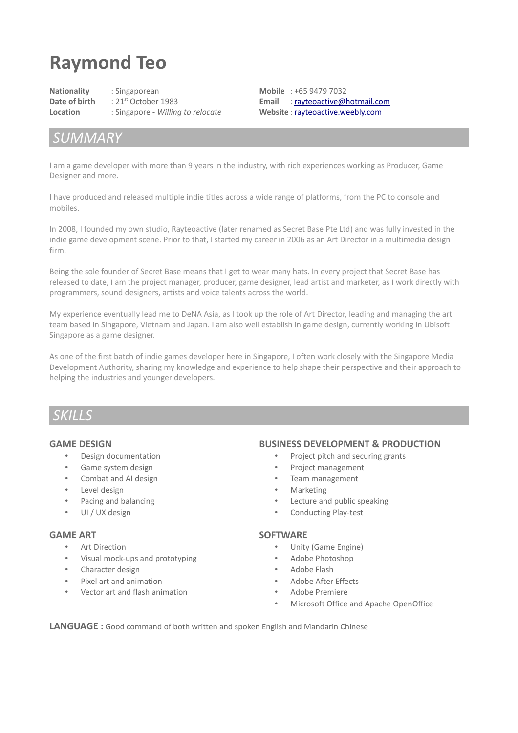# **Raymond Teo**

**Nationality** : Singaporean **Date of birth** : 21<sup>st</sup> October 1983 **Location** : Singapore - *Willing to relocate* **Mobile** : +65 9479 7032 **Email** : [rayteoactive@hotmail.com](mailto:rayteoactive@hotmail.com) **Website** : [rayteoactive.weebly.com](http://rayteoactive.weebly.com/)

## *SUMMARY*

I am a game developer with more than 9 years in the industry, with rich experiences working as Producer, Game Designer and more.

I have produced and released multiple indie titles across a wide range of platforms, from the PC to console and mobiles.

In 2008, I founded my own studio, Rayteoactive (later renamed as Secret Base Pte Ltd) and was fully invested in the indie game development scene. Prior to that, I started my career in 2006 as an Art Director in a multimedia design firm.

Being the sole founder of Secret Base means that I get to wear many hats. In every project that Secret Base has released to date, I am the project manager, producer, game designer, lead artist and marketer, as I work directly with programmers, sound designers, artists and voice talents across the world.

My experience eventually lead me to DeNA Asia, as I took up the role of Art Director, leading and managing the art team based in Singapore, Vietnam and Japan. I am also well establish in game design, currently working in Ubisoft Singapore as a game designer.

As one of the first batch of indie games developer here in Singapore, I often work closely with the Singapore Media Development Authority, sharing my knowledge and experience to help shape their perspective and their approach to helping the industries and younger developers.

## *SKILLS*

- Design documentation
- Game system design
- Combat and AI design
- Level design
- Pacing and balancing
- UI / UX design

- **Art Direction**
- Visual mock-ups and prototyping
- Character design
- Pixel art and animation
- Vector art and flash animation

#### **GAME DESIGN BUSINESS DEVELOPMENT & PRODUCTION**

- Project pitch and securing grants
- Project management
- Team management
- **Marketing**
- Lecture and public speaking
- Conducting Play-test

#### **GAME ART SOFTWARE**

- Unity (Game Engine)
- Adobe Photoshop
- Adobe Flash
- Adobe After Effects
- Adobe Premiere
- Microsoft Office and Apache OpenOffice

**LANGUAGE :** Good command of both written and spoken English and Mandarin Chinese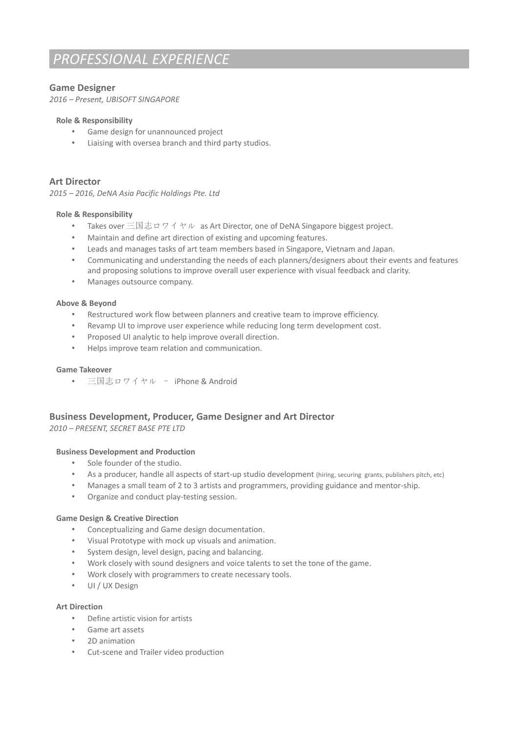## *PROFESSIONAL EXPERIENCE*

#### **Game Designer**

*2016 – Present, UBISOFT SINGAPORE*

#### **Role & Responsibility**

- Game design for unannounced project
- Liaising with oversea branch and third party studios.

#### **Art Director**

*2015 – 2016, DeNA Asia Pacific Holdings Pte. Ltd*

#### **Role & Responsibility**

- Takes over 三国志ロワイヤル as Art Director, one of DeNA Singapore biggest project.
- Maintain and define art direction of existing and upcoming features.
- Leads and manages tasks of art team members based in Singapore, Vietnam and Japan.
- Communicating and understanding the needs of each planners/designers about their events and features and proposing solutions to improve overall user experience with visual feedback and clarity.
- Manages outsource company.

#### **Above & Beyond**

- Restructured work flow between planners and creative team to improve efficiency.
- Revamp UI to improve user experience while reducing long term development cost.
- Proposed UI analytic to help improve overall direction.
- Helps improve team relation and communication.

#### **Game Takeover**

三国志ロワイヤル - iPhone & Android

### **Business Development, Producer, Game Designer and Art Director**

*2010 – PRESENT, SECRET BASE PTE LTD*

#### **Business Development and Production**

- Sole founder of the studio.
- As a producer, handle all aspects of start-up studio development (hiring, securing grants, publishers pitch, etc)
- Manages a small team of 2 to 3 artists and programmers, providing guidance and mentor-ship.
- Organize and conduct play-testing session.

#### **Game Design & Creative Direction**

- Conceptualizing and Game design documentation.
- Visual Prototype with mock up visuals and animation.
- System design, level design, pacing and balancing.
- Work closely with sound designers and voice talents to set the tone of the game.
- Work closely with programmers to create necessary tools.
- UI / UX Design

#### **Art Direction**

- Define artistic vision for artists
- Game art assets
- 2D animation
- Cut-scene and Trailer video production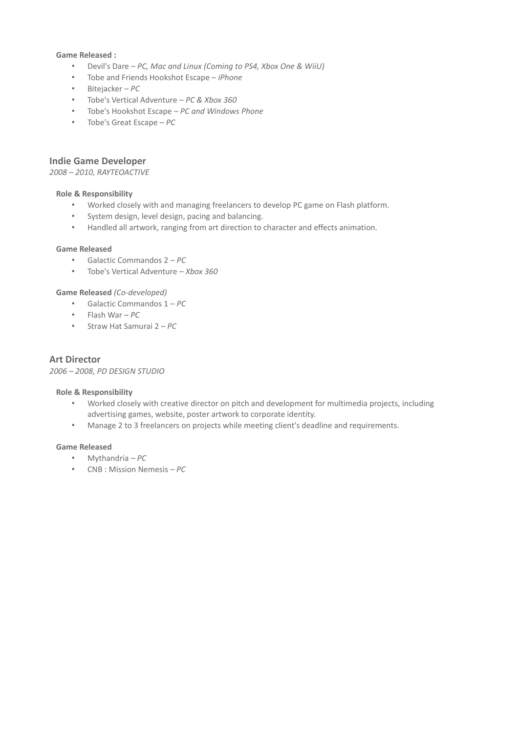#### **Game Released :**

- Devil's Dare *PC, Mac and Linux (Coming to PS4, Xbox One & WiiU)*
- Tobe and Friends Hookshot Escape *iPhone*
- Bitejacker  *PC*
- Tobe's Vertical Adventure  *PC & Xbox 360*
- Tobe's Hookshot Escape  *PC and Windows Phone*
- Tobe's Great Escape  *PC*

#### **Indie Game Developer**

*2008 – 2010, RAYTEOACTIVE*

#### **Role & Responsibility**

- Worked closely with and managing freelancers to develop PC game on Flash platform.
- System design, level design, pacing and balancing.
- Handled all artwork, ranging from art direction to character and effects animation.

#### **Game Released**

- Galactic Commandos 2  *PC*
- Tobe's Vertical Adventure  *Xbox 360*

#### **Game Released** *(Co-developed)*

- Galactic Commandos 1  *PC*
- Flash War  *PC*
- Straw Hat Samurai 2  *PC*

#### **Art Director**

*2006 – 2008, PD DESIGN STUDIO*

#### **Role & Responsibility**

- Worked closely with creative director on pitch and development for multimedia projects, including advertising games, website, poster artwork to corporate identity.
- Manage 2 to 3 freelancers on projects while meeting client's deadline and requirements.

#### **Game Released**

- Mythandria  *PC*
- CNB : Mission Nemesis  *PC*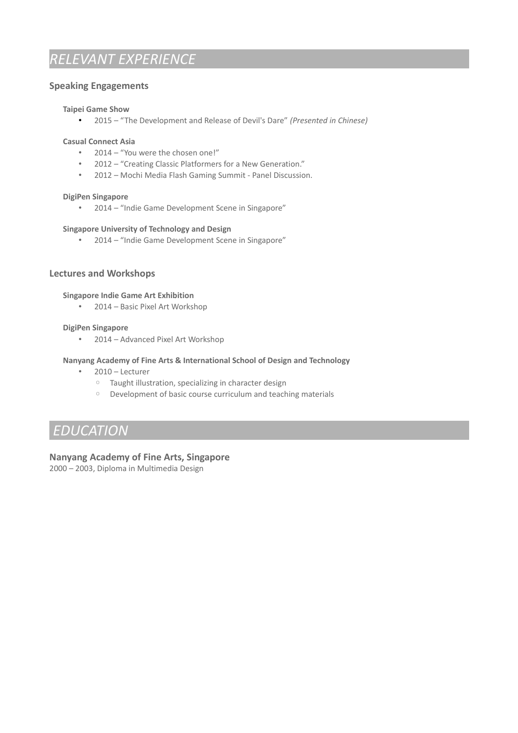## *RELEVANT EXPERIENCE*

#### **Speaking Engagements**

#### **Taipei Game Show**

• 2015 – "The Development and Release of Devil's Dare" *(Presented in Chinese)*

#### **Casual Connect Asia**

- 2014 "You were the chosen one!"
- 2012 "Creating Classic Platformers for a New Generation."
- 2012 Mochi Media Flash Gaming Summit Panel Discussion.

#### **DigiPen Singapore**

• 2014 – "Indie Game Development Scene in Singapore"

#### **Singapore University of Technology and Design**

• 2014 – "Indie Game Development Scene in Singapore"

#### **Lectures and Workshops**

**Singapore Indie Game Art Exhibition**

• 2014 – Basic Pixel Art Workshop

#### **DigiPen Singapore**

• 2014 – Advanced Pixel Art Workshop

#### **Nanyang Academy of Fine Arts & International School of Design and Technology**

- 2010 Lecturer
	- Taught illustration, specializing in character design
	- Development of basic course curriculum and teaching materials

## *EDUCATION*

### **Nanyang Academy of Fine Arts, Singapore**

2000 – 2003, Diploma in Multimedia Design